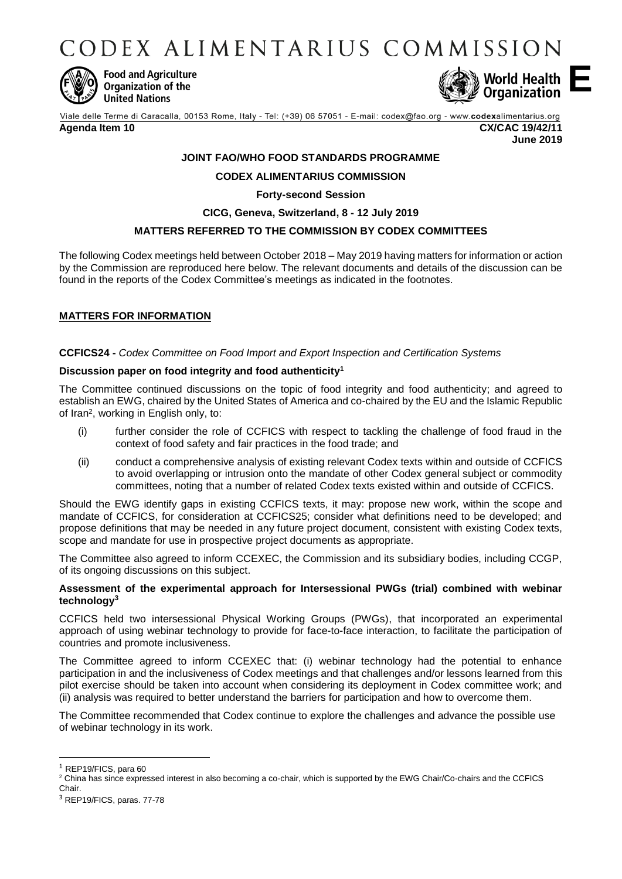CODEX ALIMENTARIUS COMMISSION



**Food and Agriculture** Organization of the **United Nations** 



Viale delle Terme di Caracalla, 00153 Rome, Italy - Tel: (+39) 06 57051 - E-mail: codex@fao.org - www.codexalimentarius.org **Agenda Item 10 CX/CAC 19/42/11**

**June 2019**

**E**

# **JOINT FAO/WHO FOOD STANDARDS PROGRAMME**

# **CODEX ALIMENTARIUS COMMISSION**

**Forty-second Session**

## **CICG, Geneva, Switzerland, 8 - 12 July 2019**

## **MATTERS REFERRED TO THE COMMISSION BY CODEX COMMITTEES**

The following Codex meetings held between October 2018 – May 2019 having matters for information or action by the Commission are reproduced here below. The relevant documents and details of the discussion can be found in the reports of the Codex Committee's meetings as indicated in the footnotes.

# **MATTERS FOR INFORMATION**

## **CCFICS24 -** *Codex Committee on Food Import and Export Inspection and Certification Systems*

# **Discussion paper on food integrity and food authenticity<sup>1</sup>**

The Committee continued discussions on the topic of food integrity and food authenticity; and agreed to establish an EWG, chaired by the United States of America and co-chaired by the EU and the Islamic Republic of Iran<sup>2</sup>, working in English only, to:

- (i) further consider the role of CCFICS with respect to tackling the challenge of food fraud in the context of food safety and fair practices in the food trade; and
- (ii) conduct a comprehensive analysis of existing relevant Codex texts within and outside of CCFICS to avoid overlapping or intrusion onto the mandate of other Codex general subject or commodity committees, noting that a number of related Codex texts existed within and outside of CCFICS.

Should the EWG identify gaps in existing CCFICS texts, it may: propose new work, within the scope and mandate of CCFICS, for consideration at CCFICS25; consider what definitions need to be developed; and propose definitions that may be needed in any future project document, consistent with existing Codex texts, scope and mandate for use in prospective project documents as appropriate.

The Committee also agreed to inform CCEXEC, the Commission and its subsidiary bodies, including CCGP, of its ongoing discussions on this subject.

## **Assessment of the experimental approach for Intersessional PWGs (trial) combined with webinar technology<sup>3</sup>**

CCFICS held two intersessional Physical Working Groups (PWGs), that incorporated an experimental approach of using webinar technology to provide for face-to-face interaction, to facilitate the participation of countries and promote inclusiveness.

The Committee agreed to inform CCEXEC that: (i) webinar technology had the potential to enhance participation in and the inclusiveness of Codex meetings and that challenges and/or lessons learned from this pilot exercise should be taken into account when considering its deployment in Codex committee work; and (ii) analysis was required to better understand the barriers for participation and how to overcome them.

The Committee recommended that Codex continue to explore the challenges and advance the possible use of webinar technology in its work.

1

<sup>1</sup> REP19/FICS, para 60

<sup>&</sup>lt;sup>2</sup> China has since expressed interest in also becoming a co-chair, which is supported by the EWG Chair/Co-chairs and the CCFICS

Chair.

<sup>3</sup> REP19/FICS, paras. 77-78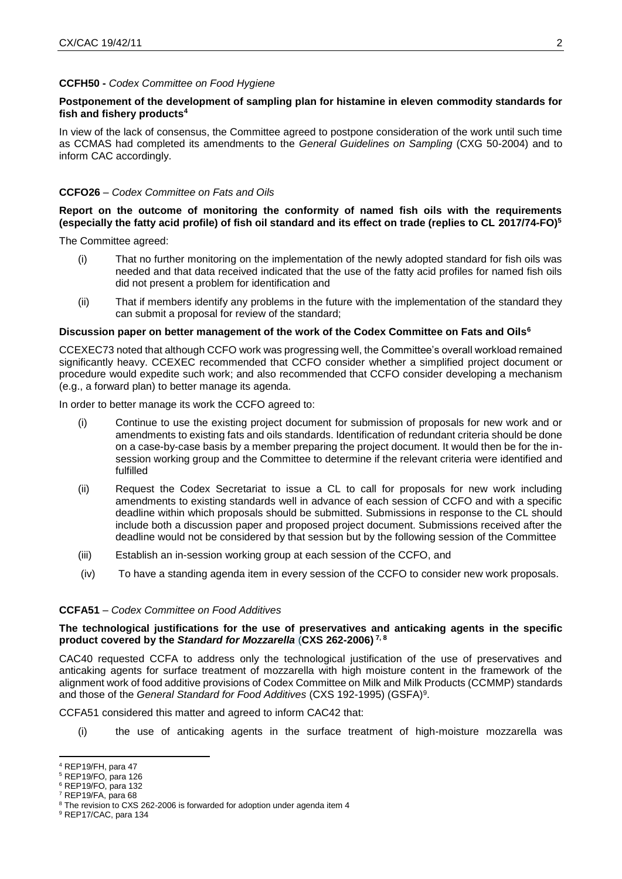### **CCFH50 -** *Codex Committee on Food Hygiene*

## **Postponement of the development of sampling plan for histamine in eleven commodity standards for fish and fishery products<sup>4</sup>**

In view of the lack of consensus, the Committee agreed to postpone consideration of the work until such time as CCMAS had completed its amendments to the *General Guidelines on Sampling* (CXG 50-2004) and to inform CAC accordingly.

#### **CCFO26** – *Codex Committee on Fats and Oils*

## **Report on the outcome of monitoring the conformity of named fish oils with the requirements (especially the fatty acid profile) of fish oil standard and its effect on trade (replies to CL 2017/74-FO)<sup>5</sup>**

The Committee agreed:

- (i) That no further monitoring on the implementation of the newly adopted standard for fish oils was needed and that data received indicated that the use of the fatty acid profiles for named fish oils did not present a problem for identification and
- (ii) That if members identify any problems in the future with the implementation of the standard they can submit a proposal for review of the standard;

#### **Discussion paper on better management of the work of the Codex Committee on Fats and Oils<sup>6</sup>**

CCEXEC73 noted that although CCFO work was progressing well, the Committee's overall workload remained significantly heavy. CCEXEC recommended that CCFO consider whether a simplified project document or procedure would expedite such work; and also recommended that CCFO consider developing a mechanism (e.g., a forward plan) to better manage its agenda.

In order to better manage its work the CCFO agreed to:

- (i) Continue to use the existing project document for submission of proposals for new work and or amendments to existing fats and oils standards. Identification of redundant criteria should be done on a case-by-case basis by a member preparing the project document. It would then be for the insession working group and the Committee to determine if the relevant criteria were identified and fulfilled
- (ii) Request the Codex Secretariat to issue a CL to call for proposals for new work including amendments to existing standards well in advance of each session of CCFO and with a specific deadline within which proposals should be submitted. Submissions in response to the CL should include both a discussion paper and proposed project document. Submissions received after the deadline would not be considered by that session but by the following session of the Committee
- (iii) Establish an in-session working group at each session of the CCFO, and
- (iv) To have a standing agenda item in every session of the CCFO to consider new work proposals.

### **CCFA51** – *Codex Committee on Food Additives*

### **The technological justifications for the use of preservatives and anticaking agents in the specific product covered by the** *Standard for Mozzarella* (**CXS 262-2006) 7, 8**

CAC40 requested CCFA to address only the technological justification of the use of preservatives and anticaking agents for surface treatment of mozzarella with high moisture content in the framework of the alignment work of food additive provisions of Codex Committee on Milk and Milk Products (CCMMP) standards and those of the *General Standard for Food Additives* (CXS 192-1995) (GSFA) 9 .

CCFA51 considered this matter and agreed to inform CAC42 that:

(i) the use of anticaking agents in the surface treatment of high-moisture mozzarella was

1

<sup>4</sup> REP19/FH, para 47

<sup>5</sup> REP19/FO, para 126

<sup>6</sup> REP19/FO, para 132 <sup>7</sup> REP19/FA, para 68

<sup>&</sup>lt;sup>8</sup> The revision to CXS 262-2006 is forwarded for adoption under agenda item 4

<sup>9</sup> REP17/CAC, para 134